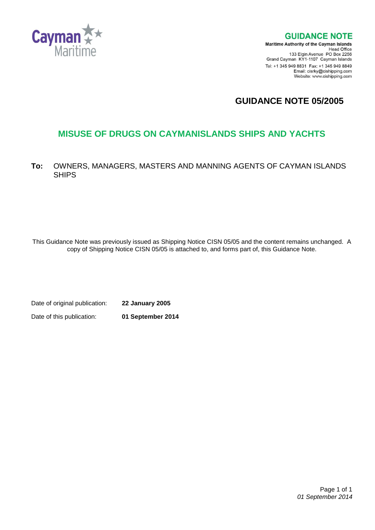

**GUIDANCE NOTE Maritime Authority of the Cayman Islands** Head Office<br>Head Office<br>133 Elgin Avenue PO Box 2256 Grand Cayman KY1-1107 Cayman Islands Tel: +1 345 949 8831 Fax: +1 345 949 8849

Email: cisrky@cishipping.com Website: www.cishipping.com

**GUIDANCE NOTE 05/2005**

# **MISUSE OF DRUGS ON CAYMANISLANDS SHIPS AND YACHTS**

**To:** OWNERS, MANAGERS, MASTERS AND MANNING AGENTS OF CAYMAN ISLANDS SHIPS

This Guidance Note was previously issued as Shipping Notice CISN 05/05 and the content remains unchanged. A copy of Shipping Notice CISN 05/05 is attached to, and forms part of, this Guidance Note.

Date of original publication: **22 January 2005**

Date of this publication: **01 September 2014**

 Page 1 of 1 *01 September 2014*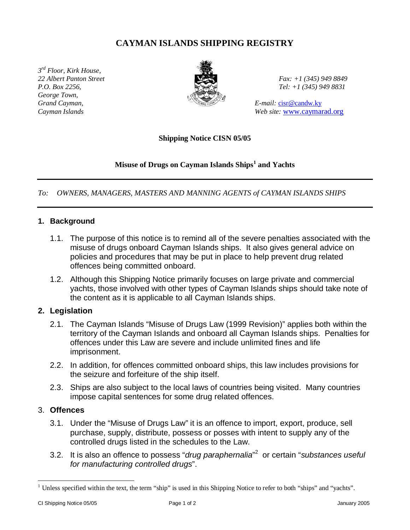## **CAYMAN ISLANDS SHIPPING REGISTRY**

*3 rd Floor, Kirk House, 22 Albert Panton Street Fax: +1 (345) 949 8849 P.O. Box 2256, Tel: +1 (345) 949 8831 George Town, Grand Cayman,* E-mail: cisr@candw.ky



*Cayman Islands Web site:* www.caymarad.org

**Shipping Notice CISN 05/05**

#### **Misuse of Drugs on Cayman Islands Ships<sup>1</sup> and Yachts**

*To: OWNERS, MANAGERS, MASTERS AND MANNING AGENTS of CAYMAN ISLANDS SHIPS*

#### **1. Background**

- 1.1. The purpose of this notice is to remind all of the severe penalties associated with the misuse of drugs onboard Cayman Islands ships. It also gives general advice on policies and procedures that may be put in place to help prevent drug related offences being committed onboard.
- 1.2. Although this Shipping Notice primarily focuses on large private and commercial yachts, those involved with other types of Cayman Islands ships should take note of the content as it is applicable to all Cayman Islands ships.

#### **2. Legislation**

- 2.1. The Cayman Islands "Misuse of Drugs Law (1999 Revision)" applies both within the territory of the Cayman Islands and onboard all Cayman Islands ships. Penalties for offences under this Law are severe and include unlimited fines and life imprisonment.
- 2.2. In addition, for offences committed onboard ships, this law includes provisions for the seizure and forfeiture of the ship itself.
- 2.3. Ships are also subject to the local laws of countries being visited. Many countries impose capital sentences for some drug related offences.

### 3. **Offences**

- 3.1. Under the "Misuse of Drugs Law" it is an offence to import, export, produce, sell purchase, supply, distribute, possess or posses with intent to supply any of the controlled drugs listed in the schedules to the Law.
- 3.2. It is also an offence to possess "*drug paraphernalia*" 2 or certain "*substances useful for manufacturing controlled drugs*".

<sup>&</sup>lt;sup>1</sup> Unless specified within the text, the term "ship" is used in this Shipping Notice to refer to both "ships" and "yachts".